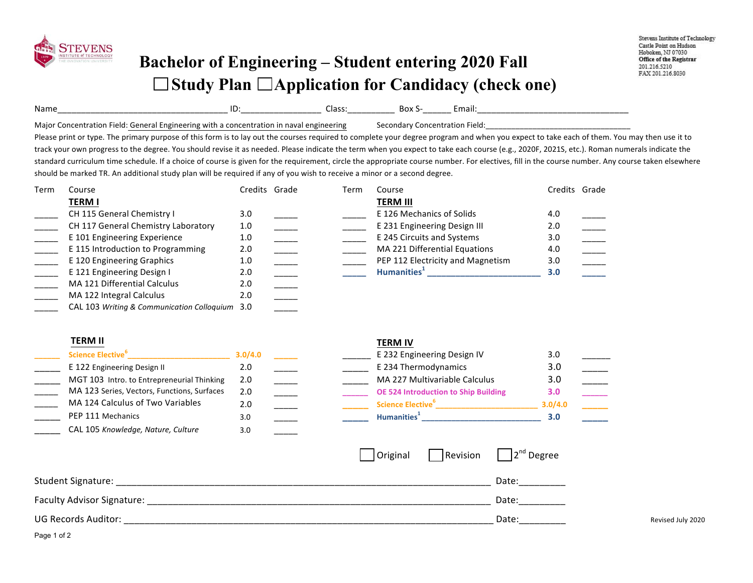

## **Bachelor of Engineering – Student entering 2020 Fall**  □ Study Plan □ Application for Candidacy (check one)

| Name<br>________                                                   | שו<br>____________________ | اءدا<br>----<br>__________ | DUX<br>_________ | ша   |
|--------------------------------------------------------------------|----------------------------|----------------------------|------------------|------|
| Maior<br>·ield<br>nener:<br>*ion-<br><b>MITH</b><br>-noine<br>'Inc |                            |                            | iua.             | held |

Please print or type. The primary purpose of this form is to lay out the courses required to complete your degree program and when you expect to take each of them. You may then use it to track your own progress to the degree. You should revise it as needed. Please indicate the term when you expect to take each course (e.g., 2020F, 2021S, etc.). Roman numerals indicate the standard curriculum time schedule. If a choice of course is given for the requirement, circle the appropriate course number. For electives, fill in the course number. Any course taken elsewhere should be marked TR. An additional study plan will be required if any of you wish to receive a minor or a second degree.

| Term | Course                                         | Credits Grade | Term | Course                            | Credits Grade |  |
|------|------------------------------------------------|---------------|------|-----------------------------------|---------------|--|
|      | <b>TERM I</b>                                  |               |      | <b>TERM III</b>                   |               |  |
|      | CH 115 General Chemistry I                     | 3.0           |      | E 126 Mechanics of Solids         | 4.0           |  |
|      | CH 117 General Chemistry Laboratory            | 1.0           |      | E 231 Engineering Design III      | 2.0           |  |
|      | E 101 Engineering Experience                   | 1.0           |      | E 245 Circuits and Systems        | 3.0           |  |
|      | E 115 Introduction to Programming              | 2.0           |      | MA 221 Differential Equations     | 4.0           |  |
|      | E 120 Engineering Graphics                     | 1.0           |      | PEP 112 Electricity and Magnetism | 3.0           |  |
|      | E 121 Engineering Design I                     | 2.0           |      | Humanities <sup>1</sup>           | 3.0           |  |
|      | MA 121 Differential Calculus                   | 2.0           |      |                                   |               |  |
|      | MA 122 Integral Calculus                       | 2.0           |      |                                   |               |  |
|      | CAL 103 Writing & Communication Colloguium 3.0 |               |      |                                   |               |  |

## **TERM II TERM IV**

| Science Elective <sup>b</sup>               | 3.0/4.0 |  | E 232 Engineering Design IV                 | 3.0     |  |
|---------------------------------------------|---------|--|---------------------------------------------|---------|--|
| E 122 Engineering Design II                 | 2.0     |  | E 234 Thermodynamics                        | 3.0     |  |
| MGT 103 Intro. to Entrepreneurial Thinking  | 2.0     |  | MA 227 Multivariable Calculus               | 3.0     |  |
| MA 123 Series, Vectors, Functions, Surfaces | 2.0     |  | <b>OE 524 Introduction to Ship Building</b> | 3.0     |  |
| MA 124 Calculus of Two Variables            | 2.0     |  | <b>Science Elective</b> <sup>6</sup>        | 3.0/4.0 |  |
| PEP 111 Mechanics                           | 3.0     |  | Humanities <sup>1</sup>                     | 3.0     |  |
| CAL 105 Knowledge, Nature, Culture          | 3.0     |  |                                             |         |  |

|                              | 3.0/4.0       |  | E 232 Engineering Design IV                 | 3.0     |  |
|------------------------------|---------------|--|---------------------------------------------|---------|--|
| ıg Design II                 | 2.0           |  | E 234 Thermodynamics                        | 3.0     |  |
| to Entrepreneurial Thinking  | 2.0           |  | MA 227 Multivariable Calculus               | 3.0     |  |
| Vectors, Functions, Surfaces | $2.0^{\circ}$ |  | <b>OE 524 Introduction to Ship Building</b> | 3.0     |  |
| is of Two Variables          | 2.0           |  | Science Elective <sup>6</sup>               | 3.0/4.0 |  |
| าics                         | 3.0           |  | Humanities <sup>1</sup>                     | 3.0     |  |

|                            | Original | Revision $2^{nd}$ Degree |                   |
|----------------------------|----------|--------------------------|-------------------|
| Student Signature: _       |          | Date:                    |                   |
| Faculty Advisor Signature: |          | Date:                    |                   |
| UG Records Auditor:        |          | Date:                    | Revised July 2020 |

Page 1 of 2